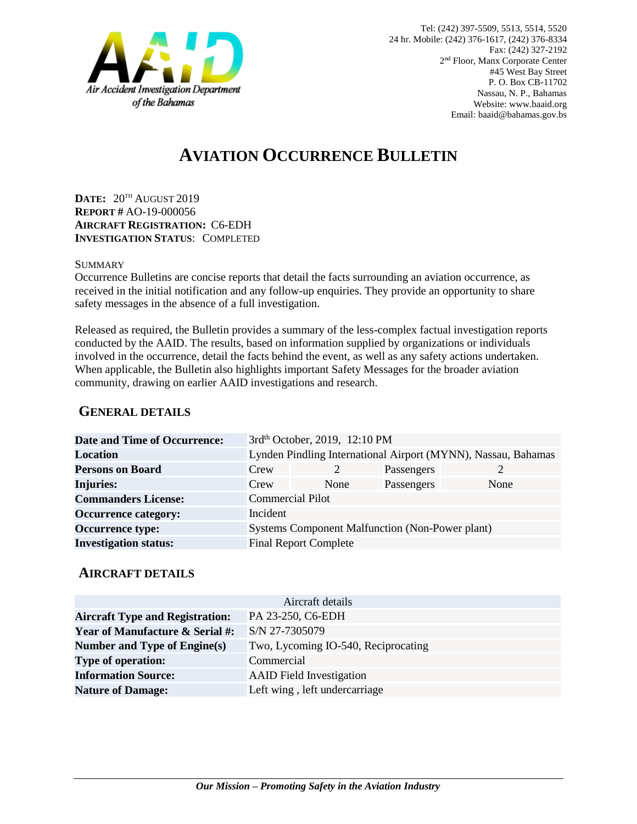

# **AVIATION OCCURRENCE BULLETIN**

**DATE:** 20TH AUGUST 2019 **REPORT #** AO-19-000056 **AIRCRAFT REGISTRATION:** C6-EDH **INVESTIGATION STATUS**: COMPLETED

#### **SUMMARY**

Occurrence Bulletins are concise reports that detail the facts surrounding an aviation occurrence, as received in the initial notification and any follow-up enquiries. They provide an opportunity to share safety messages in the absence of a full investigation*.*

Released as required, the Bulletin provides a summary of the less-complex factual investigation reports conducted by the AAID. The results, based on information supplied by organizations or individuals involved in the occurrence, detail the facts behind the event, as well as any safety actions undertaken. When applicable, the Bulletin also highlights important Safety Messages for the broader aviation community, drawing on earlier AAID investigations and research.

### **GENERAL DETAILS**

| Crew                                                   |      |                                                         |                                                                                                                                        |
|--------------------------------------------------------|------|---------------------------------------------------------|----------------------------------------------------------------------------------------------------------------------------------------|
| Crew                                                   | None |                                                         | None                                                                                                                                   |
|                                                        |      |                                                         |                                                                                                                                        |
| Incident                                               |      |                                                         |                                                                                                                                        |
| <b>Systems Component Malfunction (Non-Power plant)</b> |      |                                                         |                                                                                                                                        |
|                                                        |      |                                                         |                                                                                                                                        |
|                                                        |      | <b>Commercial Pilot</b><br><b>Final Report Complete</b> | 3rd <sup>th</sup> October, 2019, 12:10 PM<br>Lynden Pindling International Airport (MYNN), Nassau, Bahamas<br>Passengers<br>Passengers |

#### **AIRCRAFT DETAILS**

|                                            | Aircraft details                    |
|--------------------------------------------|-------------------------------------|
| <b>Aircraft Type and Registration:</b>     | PA 23-250, C6-EDH                   |
| <b>Year of Manufacture &amp; Serial #:</b> | S/N 27-7305079                      |
| Number and Type of Engine(s)               | Two, Lycoming IO-540, Reciprocating |
| <b>Type of operation:</b>                  | Commercial                          |
| <b>Information Source:</b>                 | <b>AAID</b> Field Investigation     |
| <b>Nature of Damage:</b>                   | Left wing, left undercarriage       |